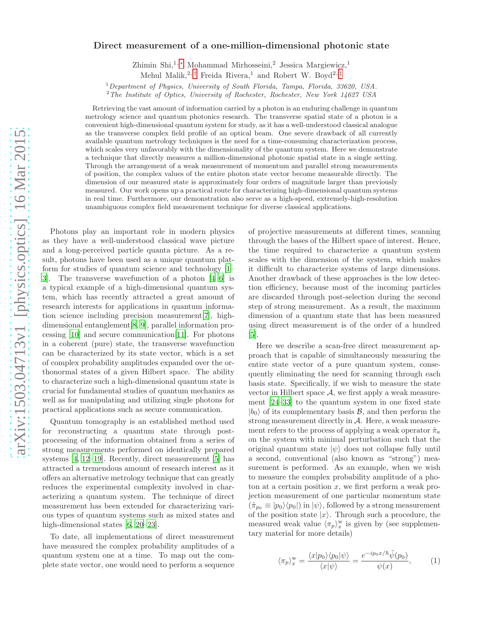## Direct measurement of a one-million-dimensional photonic state

Zhimin Shi,1, [∗](#page-3-0) Mohammad Mirhosseini,<sup>2</sup> Jessica Margiewicz,<sup>1</sup>

Mehul Malik,<sup>2,[†](#page-3-1)</sup> Freida Rivera,<sup>1</sup> and Robert W. Boyd<sup>2,[‡](#page-3-2)</sup>

<sup>1</sup>Department of Physics, University of South Florida, Tampa, Florida, 33620, USA.

 $2$ The Institute of Optics, University of Rochester, Rochester, New York 14627 USA

Retrieving the vast amount of information carried by a photon is an enduring challenge in quantum metrology science and quantum photonics research. The transverse spatial state of a photon is a convenient high-dimensional quantum system for study, as it has a well-understood classical analogue as the transverse complex field profile of an optical beam. One severe drawback of all currently available quantum metrology techniques is the need for a time-consuming characterization process, which scales very unfavorably with the dimensionality of the quantum system. Here we demonstrate a technique that directly measures a million-dimensional photonic spatial state in a single setting. Through the arrangement of a weak measurement of momentum and parallel strong measurements of position, the complex values of the entire photon state vector become measurable directly. The dimension of our measured state is approximately four orders of magnitude larger than previously measured. Our work opens up a practical route for characterizing high-dimensional quantum systems in real time. Furthermore, our demonstration also serve as a high-speed, extremely-high-resolution unambiguous complex field measurement technique for diverse classical applications.

Photons play an important role in modern physics as they have a well-understood classical wave picture and a long-perceived particle quanta picture. As a result, photons have been used as a unique quantum platform for studies of quantum science and technology [\[1](#page-3-3)– [3](#page-4-0)]. The transverse wavefunction of a photon [\[4](#page-4-1)[–6\]](#page-4-2) is a typical example of a high-dimensional quantum system, which has recently attracted a great amount of research interests for applications in quantum information science including precision measurement[\[7\]](#page-4-3), highdimensional entanglement[\[8](#page-4-4), [9\]](#page-4-5), parallel information processing [\[10](#page-4-6)] and secure communication[\[11\]](#page-4-7). For photons in a coherent (pure) state, the transverse wavefunction can be characterized by its state vector, which is a set of complex probability amplitudes expanded over the orthonormal states of a given Hilbert space. The ability to characterize such a high-dimensional quantum state is crucial for fundamental studies of quantum mechanics as well as for manipulating and utilizing single photons for practical applications such as secure communication.

Quantum tomography is an established method used for reconstructing a quantum state through postprocessing of the information obtained from a series of strong measurements performed on identically prepared systems [\[4,](#page-4-1) [12–](#page-4-8)[19\]](#page-4-9). Recently, direct measurement [\[5\]](#page-4-10) has attracted a tremendous amount of research interest as it offers an alternative metrology technique that can greatly reduces the experimental complexity involved in characterizing a quantum system. The technique of direct measurement has been extended for characterizing various types of quantum systems such as mixed states and high-dimensional states [\[6](#page-4-2), [20](#page-4-11)[–23](#page-4-12)].

To date, all implementations of direct measurement have measured the complex probability amplitudes of a quantum system one at a time. To map out the complete state vector, one would need to perform a sequence

of projective measurements at different times, scanning through the bases of the Hilbert space of interest. Hence, the time required to characterize a quantum system scales with the dimension of the system, which makes it difficult to characterize systems of large dimensions. Another drawback of these approaches is the low detection efficiency, because most of the incoming particles are discarded through post-selection during the second step of strong measurement. As a result, the maximum dimension of a quantum state that has been measured using direct measurement is of the order of a hundred [\[5\]](#page-4-10).

Here we describe a scan-free direct measurement approach that is capable of simultaneously measuring the entire state vector of a pure quantum system, consequently eliminating the need for scanning through each basis state. Specifically, if we wish to measure the state vector in Hilbert space  $A$ , we first apply a weak measurement [\[24](#page-4-13)[–33\]](#page-4-14) to the quantum system in one fixed state  $|b_0\rangle$  of its complementary basis  $\mathcal{B}$ , and then perform the strong measurement directly in A. Here, a weak measurement refers to the process of applying a weak operator  $\hat{\pi}_a$ on the system with minimal perturbation such that the original quantum state  $|\psi\rangle$  does not collapse fully until a second, conventional (also known as "strong") measurement is performed. As an example, when we wish to measure the complex probability amplitude of a photon at a certain position  $x$ , we first perform a weak projection measurement of one particular momentum state  $(\hat{\pi}_{p_0} \equiv |p_0\rangle\langle p_0|)$  in  $|\psi\rangle$ , followed by a strong measurement of the position state  $|x\rangle$ . Through such a procedure, the measured weak value  $\langle \pi_p \rangle_x^{\text{w}}$  is given by (see supplementary material for more details)

$$
\langle \pi_p \rangle_x^{\rm w} = \frac{\langle x|p_0\rangle\langle p_0|\psi\rangle}{\langle x|\psi\rangle} = \frac{e^{-ip_0x/\hbar}\tilde{\psi}(p_0)}{\psi(x)},\tag{1}
$$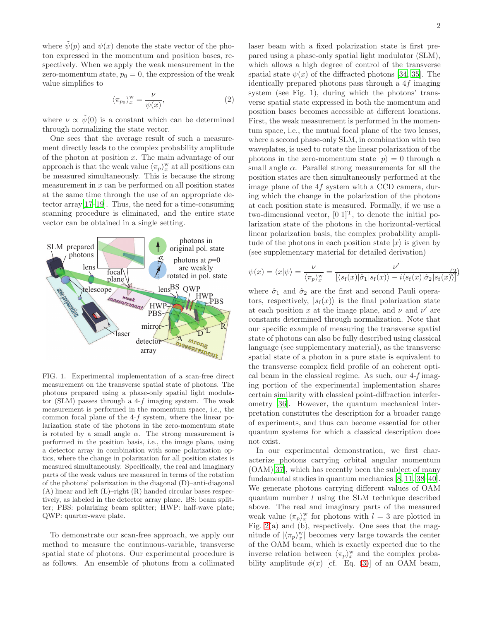where  $\psi(p)$  and  $\psi(x)$  denote the state vector of the photon expressed in the momentum and position bases, respectively. When we apply the weak measurement in the zero-momentum state,  $p_0 = 0$ , the expression of the weak value simplifies to

$$
\langle \pi_{p_0} \rangle_x^{\mathbf{w}} = \frac{\nu}{\psi(x)},\tag{2}
$$

where  $\nu \propto \tilde{\psi}(0)$  is a constant which can be determined through normalizing the state vector.

One sees that the average result of such a measurement directly leads to the complex probability amplitude of the photon at position  $x$ . The main advantage of our approach is that the weak value  $\langle \pi_p \rangle_x^{\text{w}}$  at all positions can be measured simultaneously. This is because the strong measurement in  $x$  can be performed on all position states at the same time through the use of an appropriate detector array[\[17–](#page-4-15)[19\]](#page-4-9). Thus, the need for a time-consuming scanning procedure is eliminated, and the entire state vector can be obtained in a single setting.



FIG. 1. Experimental implementation of a scan-free direct measurement on the transverse spatial state of photons. The photons prepared using a phase-only spatial light modulator (SLM) passes through a  $4-f$  imaging system. The weak measurement is performed in the momentum space, i.e., the common focal plane of the  $4-f$  system, where the linear polarization state of the photons in the zero-momentum state is rotated by a small angle  $\alpha$ . The strong measurement is performed in the position basis, i.e., the image plane, using a detector array in combination with some polarization optics, where the change in polarization for all position states is measured simultaneously. Specifically, the real and imaginary parts of the weak values are measured in terms of the rotation of the photons' polarization in the diagonal (D)–anti-diagonal (A) linear and left (L)–right (R) handed circular bases respectively, as labeled in the detector array plane. BS: beam splitter; PBS: polarizing beam splitter; HWP: half-wave plate; QWP: quarter-wave plate.

To demonstrate our scan-free approach, we apply our method to measure the continuous-variable, transverse spatial state of photons. Our experimental procedure is as follows. An ensemble of photons from a collimated laser beam with a fixed polarization state is first prepared using a phase-only spatial light modulator (SLM), which allows a high degree of control of the transverse spatial state  $\psi(x)$  of the diffracted photons [\[34](#page-4-16), [35](#page-4-17)]. The identically prepared photons pass through a 4f imaging system (see Fig. 1), during which the photons' transverse spatial state expressed in both the momentum and position bases becomes accessible at different locations. First, the weak measurement is performed in the momentum space, i.e., the mutual focal plane of the two lenses, where a second phase-only SLM, in combination with two waveplates, is used to rotate the linear polarization of the photons in the zero-momentum state  $|p\rangle = 0$  through a small angle  $\alpha$ . Parallel strong measurements for all the position states are then simultaneously performed at the image plane of the 4f system with a CCD camera, during which the change in the polarization of the photons at each position state is measured. Formally, if we use a two-dimensional vector,  $[0\ 1]^T$ , to denote the initial polarization state of the photons in the horizontal-vertical linear polarization basis, the complex probability amplitude of the photons in each position state  $|x\rangle$  is given by (see supplementary material for detailed derivation)

<span id="page-1-0"></span>
$$
\psi(x) = \langle x | \psi \rangle = \frac{\nu}{\langle \pi_p \rangle_x^{\text{w}}} = \frac{\nu'}{\left[ \langle s_f(x) | \hat{\sigma}_1 | s_f(x) \rangle - i \langle s_f(x) | \hat{\sigma}_2 | s_f(x) \rangle \right]^2}
$$

where  $\hat{\sigma}_1$  and  $\hat{\sigma}_2$  are the first and second Pauli operators, respectively,  $|s_f(x)\rangle$  is the final polarization state at each position x at the image plane, and  $\nu$  and  $\nu'$  are constants determined through normalization. Note that our specific example of measuring the transverse spatial state of photons can also be fully described using classical language (see supplementary material), as the transverse spatial state of a photon in a pure state is equivalent to the transverse complex field profile of an coherent optical beam in the classical regime. As such, our 4-f imaging portion of the experimental implementation shares certain similarity with classical point-diffraction interferometry [\[36](#page-4-18)]. However, the quantum mechanical interpretation constitutes the description for a broader range of experiments, and thus can become essential for other quantum systems for which a classical description does not exist.

In our experimental demonstration, we first characterize photons carrying orbital angular momentum (OAM)[\[37\]](#page-4-19), which has recently been the subject of many fundamental studies in quantum mechanics [\[8,](#page-4-4) [11,](#page-4-7) [38](#page-4-20)[–40\]](#page-4-21). We generate photons carrying different values of OAM quantum number l using the SLM technique described above. The real and imaginary parts of the measured weak value  $\langle \pi_p \rangle_x^{\text{w}}$  for photons with  $l = 3$  are plotted in Fig. [2\(](#page-2-0)a) and (b), respectively. One sees that the magnitude of  $|\langle \pi_p \rangle_x^{\text{w}}|$  becomes very large towards the center of the OAM beam, which is exactly expected due to the inverse relation between  $\langle \pi_p \rangle_x^{\text{w}}$  and the complex probability amplitude  $\phi(x)$  [cf. Eq. [\(3\)](#page-1-0)] of an OAM beam,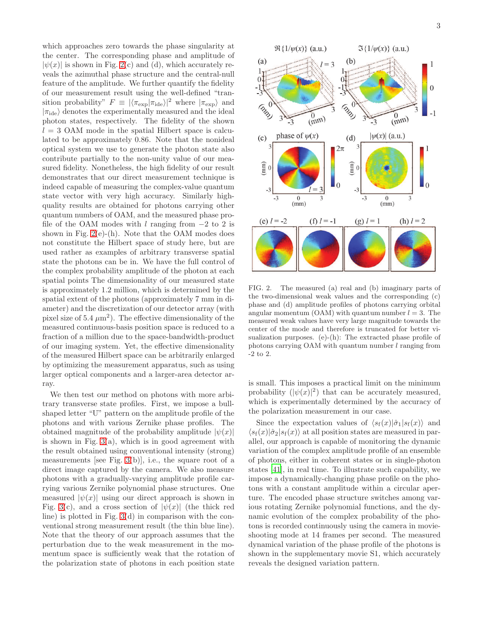which approaches zero towards the phase singularity at the center. The corresponding phase and amplitude of  $|\psi(x)|$  is shown in Fig. [2\(](#page-2-0)c) and (d), which accurately reveals the azimuthal phase structure and the central-null feature of the amplitude. We further quantify the fidelity of our measurement result using the well-defined "transition probability"  $F \equiv |\langle \pi_{\exp} | \pi_{\text{ide}} \rangle|^2$  where  $|\pi_{\exp}\rangle$  and  $|\pi_{ide}\rangle$  denotes the experimentally measured and the ideal photon states, respectively. The fidelity of the shown  $l = 3$  OAM mode in the spatial Hilbert space is calculated to be approximately 0.86. Note that the nonideal optical system we use to generate the photon state also contribute partially to the non-unity value of our measured fidelity. Nonetheless, the high fidelity of our result demonstrates that our direct measurement technique is indeed capable of measuring the complex-value quantum state vector with very high accuracy. Similarly highquality results are obtained for photons carrying other quantum numbers of OAM, and the measured phase profile of the OAM modes with  $l$  ranging from  $-2$  to 2 is shown in Fig.  $2(e)$ -(h). Note that the OAM modes does not constitute the Hilbert space of study here, but are used rather as examples of arbitrary transverse spatial state the photons can be in. We have the full control of the complex probability amplitude of the photon at each spatial points The dimensionality of our measured state is approximately 1.2 million, which is determined by the spatial extent of the photons (approximately 7 mm in diameter) and the discretization of our detector array (with pixel size of  $5.4 \ \mu \text{m}^2$ ). The effective dimensionality of the measured continuous-basis position space is reduced to a fraction of a million due to the space-bandwidth-product of our imaging system. Yet, the effective dimensionality of the measured Hilbert space can be arbitrarily enlarged by optimizing the measurement apparatus, such as using larger optical components and a larger-area detector array.

We then test our method on photons with more arbitrary transverse state profiles. First, we impose a bullshaped letter "U" pattern on the amplitude profile of the photons and with various Zernike phase profiles. The obtained magnitude of the probability amplitude  $|\psi(x)|$ is shown in Fig.  $3(a)$ , which is in good agreement with the result obtained using conventional intensity (strong) measurements [see Fig.  $3(b)$ ], i.e., the square root of a direct image captured by the camera. We also measure photons with a gradually-varying amplitude profile carrying various Zernike polynomial phase structures. One measured  $|\psi(x)|$  using our direct approach is shown in Fig. [3\(](#page-3-4)c), and a cross section of  $|\psi(x)|$  (the thick red line) is plotted in Fig. [3\(](#page-3-4)d) in comparison with the conventional strong measurement result (the thin blue line). Note that the theory of our approach assumes that the perturbation due to the weak measurement in the momentum space is sufficiently weak that the rotation of the polarization state of photons in each position state



<span id="page-2-0"></span>FIG. 2. The measured (a) real and (b) imaginary parts of the two-dimensional weak values and the corresponding (c) phase and (d) amplitude profiles of photons carrying orbital angular momentum (OAM) with quantum number  $l = 3$ . The measured weak values have very large magnitude towards the center of the mode and therefore is truncated for better visualization purposes. (e)-(h): The extracted phase profile of photons carrying OAM with quantum number  $l$  ranging from -2 to 2.

is small. This imposes a practical limit on the minimum probability  $(|\psi(x)|^2)$  that can be accurately measured, which is experimentally determined by the accuracy of the polarization measurement in our case.

Since the expectation values of  $\langle s_f(x)|\hat{\sigma}_1|s_f(x)\rangle$  and  $\langle s_f(x)|\hat{\sigma}_2|s_f(x)\rangle$  at all position states are measured in parallel, our approach is capable of monitoring the dynamic variation of the complex amplitude profile of an ensemble of photons, either in coherent states or in single-photon states [\[41\]](#page-4-22), in real time. To illustrate such capability, we impose a dynamically-changing phase profile on the photons with a constant amplitude within a circular aperture. The encoded phase structure switches among various rotating Zernike polynomial functions, and the dynamic evolution of the complex probability of the photons is recorded continuously using the camera in movieshooting mode at 14 frames per second. The measured dynamical variation of the phase profile of the photons is shown in the supplementary movie S1, which accurately reveals the designed variation pattern.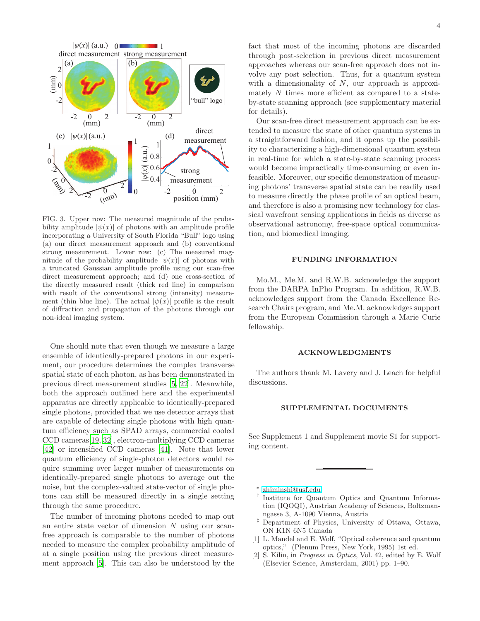

<span id="page-3-4"></span>FIG. 3. Upper row: The measured magnitude of the probability amplitude  $|\psi(x)|$  of photons with an amplitude profile incorporating a University of South Florida "Bull" logo using (a) our direct measurement approach and (b) conventional strong measurement. Lower row: (c) The measured magnitude of the probability amplitude  $|\psi(x)|$  of photons with a truncated Gaussian amplitude profile using our scan-free direct measurement approach; and (d) one cross-section of the directly measured result (thick red line) in comparison with result of the conventional strong (intensity) measurement (thin blue line). The actual  $|\psi(x)|$  profile is the result of diffraction and propagation of the photons through our non-ideal imaging system.

One should note that even though we measure a large ensemble of identically-prepared photons in our experiment, our procedure determines the complex transverse spatial state of each photon, as has been demonstrated in previous direct measurement studies [\[5,](#page-4-10) [22\]](#page-4-23). Meanwhile, both the approach outlined here and the experimental apparatus are directly applicable to identically-prepared single photons, provided that we use detector arrays that are capable of detecting single photons with high quantum efficiency such as SPAD arrays, commercial cooled CCD cameras[\[19](#page-4-9), [32\]](#page-4-24), electron-multiplying CCD cameras [\[42\]](#page-4-25) or intensified CCD cameras [\[41\]](#page-4-22). Note that lower quantum efficiency of single-photon detectors would require summing over larger number of measurements on identically-prepared single photons to average out the noise, but the complex-valued state-vector of single photons can still be measured directly in a single setting through the same procedure.

The number of incoming photons needed to map out an entire state vector of dimension N using our scanfree approach is comparable to the number of photons needed to measure the complex probability amplitude of at a single position using the previous direct measurement approach [\[5\]](#page-4-10). This can also be understood by the

fact that most of the incoming photons are discarded through post-selection in previous direct measurement approaches whereas our scan-free approach does not involve any post selection. Thus, for a quantum system with a dimensionality of  $N$ , our approach is approximately N times more efficient as compared to a stateby-state scanning approach (see supplementary material for details).

Our scan-free direct measurement approach can be extended to measure the state of other quantum systems in a straightforward fashion, and it opens up the possibility to characterizing a high-dimensional quantum system in real-time for which a state-by-state scanning process would become impractically time-consuming or even infeasible. Moreover, our specific demonstration of measuring photons' transverse spatial state can be readily used to measure directly the phase profile of an optical beam, and therefore is also a promising new technology for classical wavefront sensing applications in fields as diverse as observational astronomy, free-space optical communication, and biomedical imaging.

## FUNDING INFORMATION

Mo.M., Me.M. and R.W.B. acknowledge the support from the DARPA InPho Program. In addition, R.W.B. acknowledges support from the Canada Excellence Research Chairs program, and Me.M. acknowledges support from the European Commission through a Marie Curie fellowship.

## ACKNOWLEDGMENTS

The authors thank M. Lavery and J. Leach for helpful discussions.

## SUPPLEMENTAL DOCUMENTS

See Supplement 1 and Supplement movie S1 for supporting content.

∗ [zhiminshi@usf.edu](mailto:zhiminshi@usf.edu)

- <span id="page-3-1"></span><span id="page-3-0"></span>† Institute for Quantum Optics and Quantum Information (IQOQI), Austrian Academy of Sciences, Boltzmanngasse 3, A-1090 Vienna, Austria
- <span id="page-3-2"></span>‡ Department of Physics, University of Ottawa, Ottawa, ON K1N 6N5 Canada
- <span id="page-3-3"></span>[1] L. Mandel and E. Wolf, "Optical coherence and quantum optics," (Plenum Press, New York, 1995) 1st ed.
- [2] S. Kilin, in Progress in Optics, Vol. 42, edited by E. Wolf (Elsevier Science, Amsterdam, 2001) pp. 1–90.